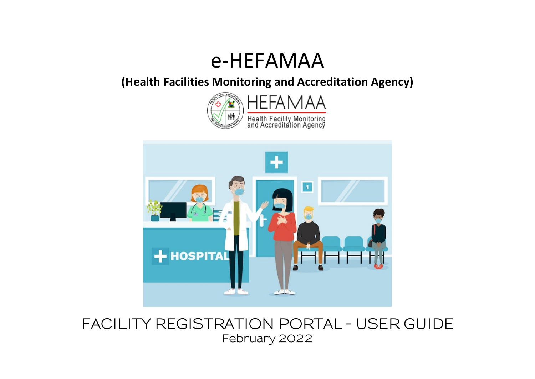# e-HEFAMAA

**(Health Facilities Monitoring and Accreditation Agency)**





**FACILITY REGISTRATION PORTAL - USER GUIDE February 2022**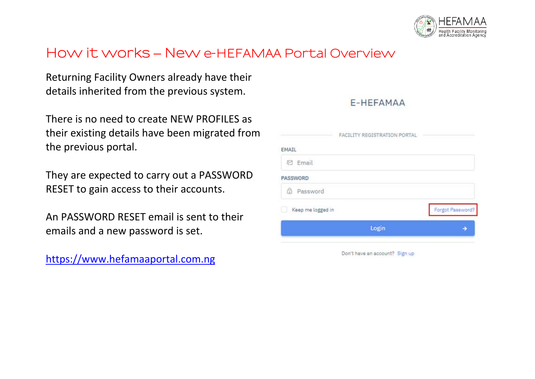

### **How it works – New e-HEFAMAA Portal Overview**

Returning Facility Owners already have their details inherited from the previous system.

There is no need to create NEW PROFILES as their existing details have been migrated from the previous portal.

They are expected to carry out a PASSWORD RESET to gain access to their accounts.

An PASSWORD RESET email is sent to their emails and a new password is set.

[https://www.hefamaaportal.com.ng](https://www.hefamaaportal.com.ng/)

|                   | Login                        |                  |
|-------------------|------------------------------|------------------|
| Keep me logged in |                              | Forgot Password? |
| h Password        |                              |                  |
| <b>ASSWORD</b>    |                              |                  |
| □ Email           |                              |                  |
| MAIL              |                              |                  |
|                   | FACILITY REGISTRATION PORTAL |                  |

F-HEFAMAA

Don't have an account? Sign up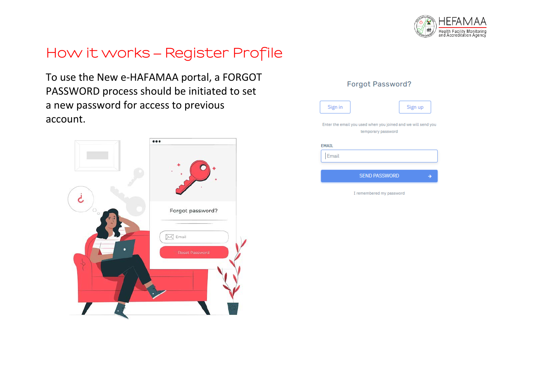

# **How it works – Register Profile**

To use the New e-HAFAMAA portal, a FORGOT PASSWORD process should be initiated to set a new password for access to previous account.



| Sign in      |                          | Sign up                                                       |
|--------------|--------------------------|---------------------------------------------------------------|
|              | temporary password       | Enter the email you used when you joined and we will send you |
| <b>EMAIL</b> |                          |                                                               |
| Email        |                          |                                                               |
|              | <b>SEND PASSWORD</b>     |                                                               |
|              | I remembered my password |                                                               |

Forgot Password?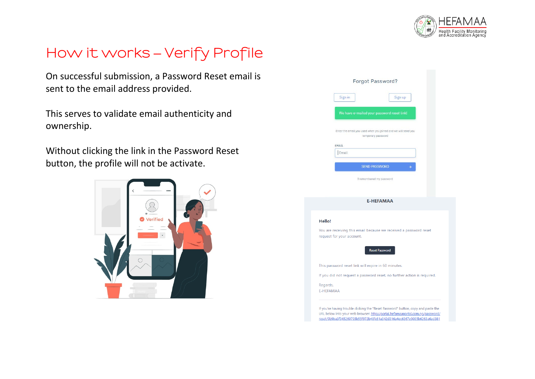

# **How it works – Verify Profile**

On successful submission, a Password Reset email is sent to the email address provided.

This serves to validate email authenticity and ownership.

Without clicking the link in the Password Reset button, the profile will not be activate.

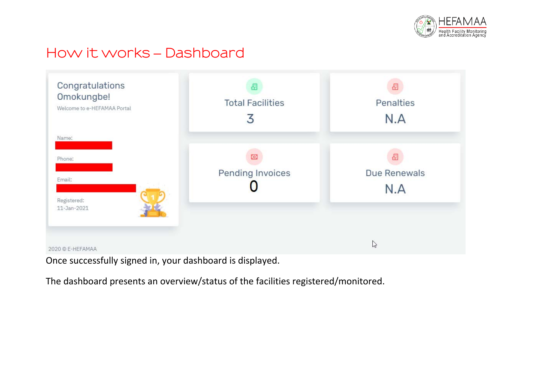

### **How it works – Dashboard**



Once successfully signed in, your dashboard is displayed.

The dashboard presents an overview/status of the facilities registered/monitored.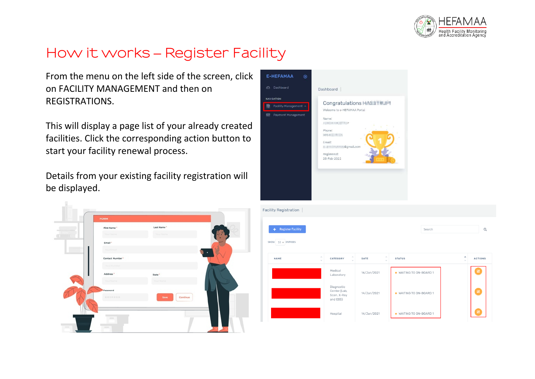

# **How it works – Register Facility**

From the menu on the left side of the screen, click on FACILITY MANAGEMENT and then on REGISTRATIONS.

This will display a page list of your already created facilities. Click the corresponding action button to start your facility renewal process.

Details from your existing facility registration will be displayed.





| <b>Register Facility</b><br>÷<br>$10 \vee$ ENTRIES<br>SHOW |                                                       |                                            | Search                  | Q                                               |
|------------------------------------------------------------|-------------------------------------------------------|--------------------------------------------|-------------------------|-------------------------------------------------|
| $\mathcal{N}_\mathrm{b}$<br><b>NAME</b><br>$\sim$          | $\mathcal{S}_{\mathcal{N}}$<br>CATEGORY<br>$\sim$     | $\mathcal{P}_\mathrm{b}$<br>DATE<br>$\sim$ | <b>STATUS</b>           | $\hat{\phantom{a}}$<br><b>ACTIONS</b><br>$\sim$ |
|                                                            | Medical<br>Laboratory                                 | 14/Jan/2021                                | · WAITING TO ON-BOARD 1 | 図                                               |
|                                                            | Diagnostic<br>Center (Lab,<br>Scan, X-Ray<br>and EEG) | 14/Jan/2021                                | · WAITING TO ON-BOARD 1 | $\boxtimes$                                     |
|                                                            | Hospital                                              | 14/Jan/2021                                | · WAITING TO ON-BOARD 1 | $\boxtimes$                                     |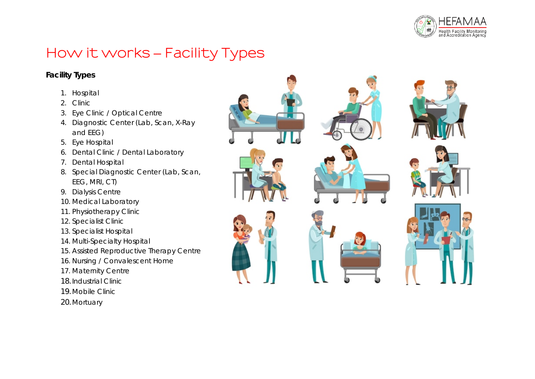

# **How it works – Facility Types**

### **Facility Types**

- 1. Hospital
- 2. Clinic
- 3. Eye Clinic / Optical Centre
- 4. Diagnostic Center (Lab, Scan, X-Ray and EEG)
- 5. Eye Hospital
- 6. Dental Clinic / Dental Laboratory
- 7. Dental Hospital
- 8. Special Diagnostic Center (Lab, Scan, EEG, MRI, CT)
- 9. Dialysis Centre
- 10. Medical Laboratory
- 11. Physiotherapy Clinic
- 12. Specialist Clinic
- 13. Specialist Hospital
- 14. Multi-Specialty Hospital
- 15. Assisted Reproductive Therapy Centre
- 16. Nursing / Convalescent Home
- 17. Maternity Centre
- 18.Industrial Clinic
- 19.Mobile Clinic
- 20.Mortuary

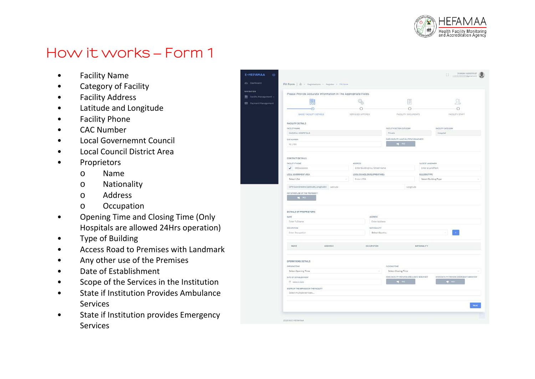

E-HEFA

**NAVIOATION** 图 Facily **ER** Pave

- Facility Name
- Category of Facility
- Facility Address
- Latitude and Longitude
- Facility Phone
- CAC Number
- Local Governemnt Council
- Local Council District Area
- Proprietors
	- o Name
	- o Nationality
	- o Address
	- o Occupation
- Opening Time and Closing Time (Only Hospitals are allowed 24Hrs operation)
- Type of Building
- Access Road to Premises with Landmark
- Any other use of the Premises
- Date of Establishment
- Scope of the Services in the Institution
- State if Institution Provides Ambulance **Services**
- State if Institution provides Emergency **Services**

|                                                                   | Please Provide Accurate Information In The Appropriate Fields |                                 |                                           |                                           |
|-------------------------------------------------------------------|---------------------------------------------------------------|---------------------------------|-------------------------------------------|-------------------------------------------|
| 開                                                                 |                                                               |                                 | E                                         |                                           |
| O                                                                 |                                                               |                                 | O                                         |                                           |
| <b>BASIC FACILITY DETAILS</b>                                     | SERVICES OFFERED                                              |                                 | FACILITY DOCUMENTS                        | <b>FACILITY STAFF</b>                     |
| FACILITY DETAILS                                                  |                                                               |                                 |                                           |                                           |
| <b>FACILITY NAME</b>                                              |                                                               | <b>FACILITY SECTOR CATEGORY</b> |                                           | FACILITY CATEGORY                         |
| GAINFUL HOSPITALS                                                 |                                                               | Private                         |                                           | Hospital                                  |
| CAC NUMBER                                                        |                                                               |                                 | DOES FACILITY HAVE MULTIPLE BRANCHES?     |                                           |
| RC/RN                                                             |                                                               | $-48 - 360$                     |                                           |                                           |
| CONTACT DETAILS                                                   |                                                               |                                 |                                           |                                           |
| FACILITY PHONE                                                    | ADDRESS                                                       |                                 | CLOSEST LANDHARK                          |                                           |
| $J$ 00000000000                                                   | Enter Building no./ Street name                               |                                 | Enter a LandMark                          |                                           |
| LOCAL GOVERNMENT AREA                                             | LOCAL COUNCIL DEVELOPMENT AREA                                |                                 | BUILDING TYPE                             |                                           |
| Select LGA                                                        | Enter LCDA<br>٠                                               |                                 | Select Building Type                      |                                           |
| GPS Coordinates (Latitude,Longitude) Latitude                     |                                                               |                                 | Longitude                                 |                                           |
| ANY OTHER USE OF THE PRENISES ?                                   |                                                               |                                 |                                           |                                           |
| DETAILS OF PROPRIETORS<br>NAME                                    |                                                               | Anderss                         |                                           |                                           |
| Enter Fullname                                                    |                                                               | Enter Address                   |                                           |                                           |
| OCCUPATION                                                        |                                                               | NATIONALITY                     |                                           |                                           |
| Enter Occupation                                                  |                                                               | Select Country                  |                                           |                                           |
| NAHE<br>ADDRESS                                                   |                                                               | <b>OCCUPATION</b>               | NATIONALITY                               |                                           |
| OPERATIONS DETAILS                                                |                                                               |                                 |                                           |                                           |
| ОРЕНОНО ТІНЕ                                                      |                                                               | CLOSING TIME                    |                                           |                                           |
| Select Opening Time                                               |                                                               | $\sim$<br>Select Closing Time   |                                           |                                           |
|                                                                   |                                                               |                                 | DOES FACILITY FROVIDE AMBULANCE SERVICES? | DOES FACILITY PROVIDE EMERGENCY SERVICES? |
|                                                                   |                                                               | $\rightarrow$ NO                |                                           | <b>B</b> NO                               |
| DATE OF ESTABLISHMENT<br>Select Date                              |                                                               |                                 |                                           |                                           |
|                                                                   |                                                               |                                 |                                           |                                           |
| SCOPE OF THE SERVICES IN THE FACILITY<br>Select multiple services |                                                               |                                 |                                           |                                           |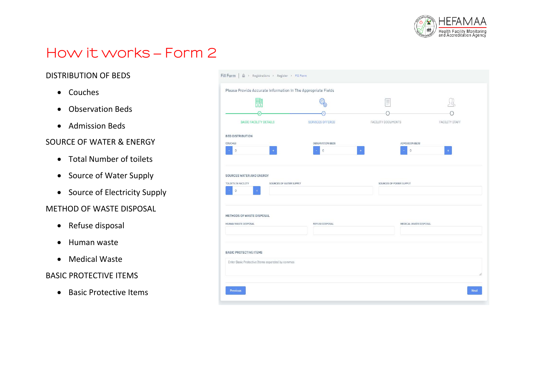

### DISTRIBUTION OF BEDS

- Couches
- Observation Beds
- Admission Beds

### SOURCE OF WATER & ENERGY

- Total Number of toilets
- Source of Water Supply
- Source of Electricity Supply

### METHOD OF WASTE DISPOSAL

- Refuse disposal
- Human waste
- Medical Waste

### BASIC PROTECTIVE ITEMS

• Basic Protective Items

| 開                                                                  |                             | ĬΞ                                  |                |
|--------------------------------------------------------------------|-----------------------------|-------------------------------------|----------------|
|                                                                    |                             |                                     |                |
| <b>BASIC FACILITY DETAILS</b>                                      | <b>SERVICES OFFERED</b>     | <b>FACILITY DOCUMENTS</b>           | FACILITY STAFF |
| <b>BED DISTRIBUTION</b>                                            |                             |                                     |                |
| <b>COUCHES</b><br>$\circ$<br>$\pm$                                 | OBSERVATION BEDS<br>$\circ$ | ADMISSION BEDS<br>$\theta$<br>$\pm$ | $\pm$          |
| SOURCES OF WATER SUPPLY<br>TOLIETS IN FACILITY<br>$\circ$<br>$\pm$ |                             | SOURCES OF POWER SUPPLY             |                |
|                                                                    |                             |                                     |                |
| METHODS OF WASTE DISPOSAL                                          |                             |                                     |                |
| HUMAN WASTE DISPOSAL                                               | REFUSE DISPOSAL             | MEDICAL WASTE DISPOSAL              |                |
| <b>BASIC PROTECTIVE ITEMS</b>                                      |                             |                                     |                |
| Enter Basic Protective Items separated by commas                   |                             |                                     |                |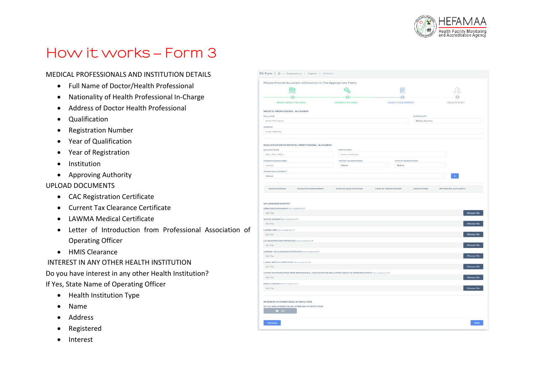

#### MEDICAL PROFESSIONALS AND INSTITUTION DETAILS

- Full Name of Doctor/Health Professional
- Nationality of Health Professional In-Charge
- Address of Doctor Health Professional
- Qualification
- Registration Number
- Year of Qualification
- Year of Registration
- Institution
- Approving Authority

#### UPLOAD DOCUMENTS

- CAC Registration Certificate
- Current Tax Clearance Certificate
- LAWMA Medical Certificate
- Letter of Introduction from Professional Association of Operating Officer
- HMIS Clearance

#### INTEREST IN ANY OTHER HEALTH INSTITUTION

Do you have interest in any other Health Institution? If Yes, State Name of Operating Officer

- Health Institution Type
- Name
- Address
- Registered
- Interest

| ⋒<br><b>FACILITY DOCUMENTS</b><br><b>FACILITY STAFF</b>                                                          |                    |
|------------------------------------------------------------------------------------------------------------------|--------------------|
|                                                                                                                  |                    |
|                                                                                                                  |                    |
|                                                                                                                  |                    |
| NATIONALITY                                                                                                      |                    |
| Select Country                                                                                                   |                    |
|                                                                                                                  |                    |
|                                                                                                                  |                    |
|                                                                                                                  |                    |
|                                                                                                                  |                    |
|                                                                                                                  |                    |
|                                                                                                                  |                    |
| YEAR OF REGISTRATION                                                                                             |                    |
| Select<br>$\sim$                                                                                                 |                    |
|                                                                                                                  |                    |
|                                                                                                                  |                    |
|                                                                                                                  |                    |
|                                                                                                                  |                    |
| <b><i>VEAR OF REGISTRATION</i></b><br>INSTITUTION<br>APPROVING AUTHORITY                                         |                    |
|                                                                                                                  | <b>Choose file</b> |
|                                                                                                                  |                    |
|                                                                                                                  | Choose file        |
|                                                                                                                  |                    |
|                                                                                                                  | Choose file        |
|                                                                                                                  |                    |
|                                                                                                                  |                    |
|                                                                                                                  | Choose file        |
|                                                                                                                  |                    |
|                                                                                                                  | <b>Choose file</b> |
|                                                                                                                  |                    |
|                                                                                                                  | Choose file        |
| LETTER OF INTRODUCTION FROM PROFESSIONAL ASSOCIATION OR REGULATORY AGENCY OF OPERATING OFFICE (FOR a 2000) HAUST |                    |
|                                                                                                                  | Choose file        |
|                                                                                                                  |                    |
|                                                                                                                  |                    |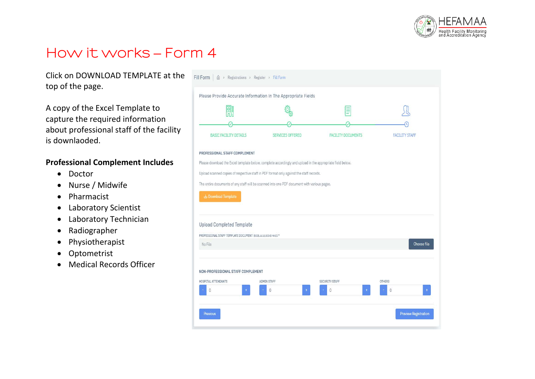

Click on DOWNLOAD TEMPLATE at the top of the page.

A copy of the Excel Template to capture the required information about professional staff of the facility is downlaoded.

### **Professional Complement Includes**

- Doctor
- Nurse / Midwife
- Pharmacist
- Laboratory Scientist
- Laboratory Technician
- Radiographer
- Physiotherapist
- Optometrist
- Medical Records Officer

| 嘂                                                                                                                                  |                                                                                                           |                            |                           |
|------------------------------------------------------------------------------------------------------------------------------------|-----------------------------------------------------------------------------------------------------------|----------------------------|---------------------------|
|                                                                                                                                    |                                                                                                           |                            |                           |
| <b>BASIC FACILITY DETAILS</b>                                                                                                      | <b>SERVICES OFFERED</b>                                                                                   | <b>FACILITY DOCUMENTS</b>  | <b>FACILITY STAFF</b>     |
| PROFESSIONAL STAFF COMPLEMENT                                                                                                      |                                                                                                           |                            |                           |
|                                                                                                                                    | Please download the Excel template below, complete accordingly and upload in the appropriate field below. |                            |                           |
|                                                                                                                                    |                                                                                                           |                            |                           |
|                                                                                                                                    |                                                                                                           |                            |                           |
|                                                                                                                                    | The entire documents of any staff will be scanned into one PDF document with various pages.               |                            |                           |
| Upload scanned copies of respective staff in PDF format only against the staff records.                                            |                                                                                                           |                            |                           |
|                                                                                                                                    |                                                                                                           |                            |                           |
|                                                                                                                                    |                                                                                                           |                            |                           |
|                                                                                                                                    |                                                                                                           |                            |                           |
|                                                                                                                                    |                                                                                                           |                            |                           |
|                                                                                                                                    |                                                                                                           |                            |                           |
|                                                                                                                                    |                                                                                                           |                            | Choose file               |
| Download Template<br><b>Upload Completed Template</b><br>PROFESSIONAL STAFF TEMPLATE DOCUMENT (EXCEL & 10.000KB MAX): *<br>No File |                                                                                                           |                            |                           |
|                                                                                                                                    |                                                                                                           |                            |                           |
|                                                                                                                                    |                                                                                                           |                            |                           |
| NON-PROFESSIONAL STAFF COMPLEMENT<br>HOSPITAL ATTENDANTS<br>$\theta$                                                               | ADMIN STAFF<br>$\theta$                                                                                   | SECURITY STAFF<br>$\theta$ | <b>OTHERS</b><br>$\theta$ |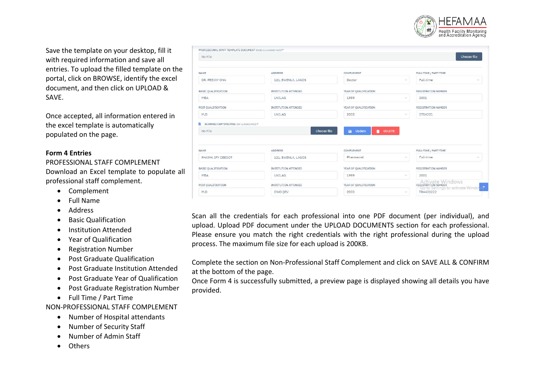

Save the template on your desktop, fill it with required information and save all entries. To upload the filled template on the portal, click on BROWSE, identify the excel document, and then click on UPLOAD & SAVE.

Once accepted, all information entered in the excel template is automatically populated on the page.

#### **Form 4 Entries**

PROFESSIONAL STAFF COMPLEMENT Download an Excel template to populate all

- professional staff complement.
	- Complement
	- Full Name
	- Address
	- Basic Qualification
	- Institution Attended
	- Year of Qualification
	- Registration Number
	- Post Graduate Qualification
	- Post Graduate Institution Attended
	- Post Graduate Year of Qualification
	- Post Graduate Registration Number
	- Full Time / Part Time

NON-PROFESSIONAL STAFF COMPLEMENT

- Number of Hospital attendants
- Number of Security Staff
- Number of Admin Staff
- Others

| No File                                           |                      |                                  | Choose file                                            |
|---------------------------------------------------|----------------------|----------------------------------|--------------------------------------------------------|
| NAME                                              | <b>ADDRESS</b>       | <b>COMPLEMENT</b>                | FULL-TIME / PART-TIME                                  |
| DR. PEEJAY ONA                                    | 121, EWENLA, LAGOS   | Doctor                           | Full-time<br>$\mathcal{L}$<br>$\backslash \mathcal{E}$ |
| BASIC QUALIFICATION                               | INSTITUTION ATTENDED | YEAR OF QUALIFICATION            | <b>REGISTRATION NUMBER</b>                             |
| MBA                                               | <b>UNILAG</b>        | 1999                             | 2001<br>$\sim$                                         |
| POST QUALIFICATION                                | INSTITUTION ATTENDED | YEAR OF QUALIFICATION            | REGISTRATION NUMBER                                    |
| M.D                                               | UNILAG               | 2005                             | $\vee$<br>DT54321                                      |
| No File                                           | <b>Choose file</b>   | <b>a</b> Update<br><b>DELETE</b> |                                                        |
|                                                   |                      |                                  |                                                        |
|                                                   | <b>ADDRESS</b>       | COMPLEMENT                       | FULL-TIME / PART-TIME                                  |
| PHARM, IFY DEEDOT                                 | 121, EWENLA, LAGOS   | Pharmacist                       | Full-time<br>$\mathcal{L}^{\prime}$<br>NC.             |
|                                                   | INSTITUTION ATTENDED | YEAR OF QUALIFICATION            | REGISTRATION NUMBER                                    |
| MBA                                               | <b>UNILAG</b>        | 1999                             | $\mathcal{L}$<br>2001                                  |
| NAME<br>BASIC QUALIFICATION<br>POST QUALIFICATION | INSTITUTION ATTENDED | YEAR OF QUALIFICATION            | Activate Windows<br>Go to Settings to activate Windows |

Scan all the credentials for each professional into one PDF document (per individual), and upload. Upload PDF document under the UPLOAD DOCUMENTS section for each professional. Please ensure you match the right credentials with the right professional during the upload process. The maximum file size for each upload is 200KB.

Complete the section on Non-Professional Staff Complement and click on SAVE ALL & CONFIRM at the bottom of the page.

Once Form 4 is successfully submitted, a preview page is displayed showing all details you have provided.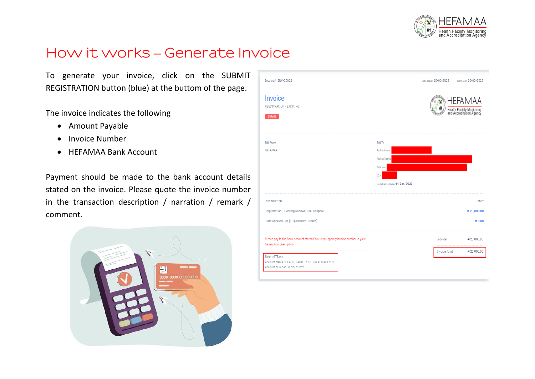

# **How it works – Generate Invoice**

To generate your invoice, click on the SUBMIT REGISTRATION button (blue) at the buttom of the page.

The invoice indicates the following

- Amount Payable
- Invoice Number
- HEFAMAA Bank Account

Payment should be made to the bank account details stated on the invoice. Please quote the invoice number in the transaction description / narration / remark / comment.



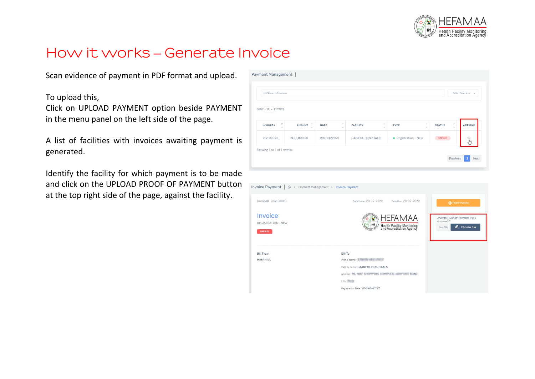

# **How it works – Generate Invoice**

Scan evidence of payment in PDF format and upload.

To upload this,

Click on UPLOAD PAYMENT option beside PAYMENT in the menu panel on the left side of the page.

A list of facilities with invoices awaiting payment is generated.

Identify the facility for which payment is to be made and click on the UPLOAD PROOF OF PAYMENT button at the top right side of the page, against the facility.

| <b>Q</b> Search Invoice              |                                                         |                     |                                 |                                                      |                               | Filter Invoice v            |
|--------------------------------------|---------------------------------------------------------|---------------------|---------------------------------|------------------------------------------------------|-------------------------------|-----------------------------|
| $10 \vee$ ENTRIES<br>SHOW            |                                                         |                     |                                 |                                                      |                               |                             |
| $\hat{\phantom{a}}$<br>INVOICE#<br>v | $\mathcal{S}^{\prime}_{\mathbf{X}}$<br>AMOUNT<br>$\sim$ | W<br>DATE<br>$\sim$ | $\mathcal{N}$<br>FACILITY<br>ö. | $\mathcal{L}_{\mathcal{N}}$<br><b>TYPE</b><br>$\sim$ | $\sim$<br><b>STATUS</b><br>t. | <b>ACTIONS</b>              |
| INV-00028                            | N 85,000.00                                             | 28/Feb/2022         | <b>GAINFUL HOSPITALS</b>        | • Registration - New                                 | UNPAID                        | $\mathfrak{F}^{\mathbb{C}}$ |

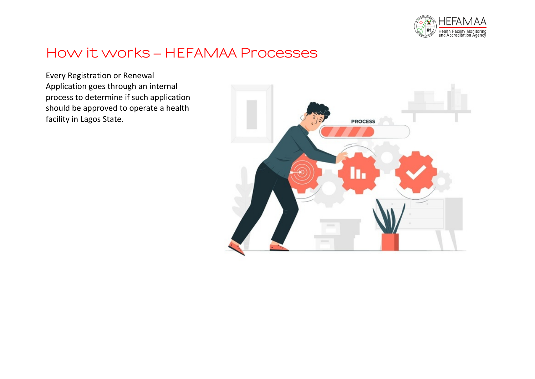

# **How it works – HEFAMAA Processes**

Every Registration or Renewal Application goes through an internal process to determine if such application should be approved to operate a health facility in Lagos State.

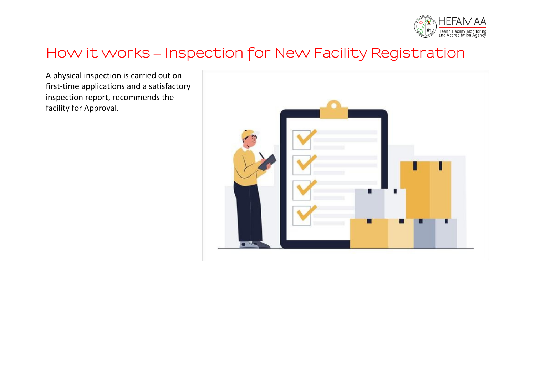

### **How it works – Inspection for New Facility Registration**

A physical inspection is carried out on first-time applications and a satisfactory inspection report, recommends the facility for Approval.

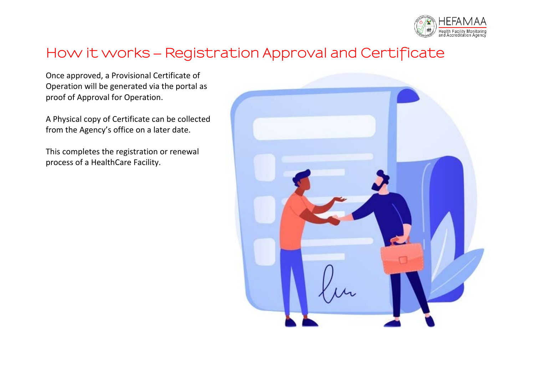

# **How it works – Registration Approval and Certificate**

Once approved, a Provisional Certificate of Operation will be generated via the portal as proof of Approval for Operation.

A Physical copy of Certificate can be collected from the Agency's office on a later date.

This completes the registration or renewal process of a HealthCare Facility.